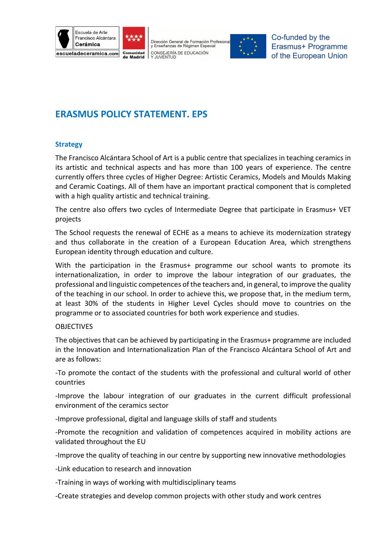





Co-funded by the Erasmus+ Programme of the European Union

# **ERASMUS POLICY STATEMENT. EPS**

## **Strategy**

The Francisco Alcántara School of Art is a public centre that specializes in teaching ceramics in its artistic and technical aspects and has more than 100 years of experience. The centre currently offers three cycles of Higher Degree: Artistic Ceramics, Models and Moulds Making and Ceramic Coatings. All of them have an important practical component that is completed with a high quality artistic and technical training.

The centre also offers two cycles of Intermediate Degree that participate in Erasmus+ VET projects

The School requests the renewal of ECHE as a means to achieve its modernization strategy and thus collaborate in the creation of a European Education Area, which strengthens European identity through education and culture.

With the participation in the Erasmus+ programme our school wants to promote its internationalization, in order to improve the labour integration of our graduates, the professional and linguistic competences of the teachers and, in general, to improve the quality of the teaching in our school. In order to achieve this, we propose that, in the medium term, at least 30% of the students in Higher Level Cycles should move to countries on the programme or to associated countries for both work experience and studies.

#### **OBJECTIVES**

The objectives that can be achieved by participating in the Erasmus+ programme are included in the Innovation and Internationalization Plan of the Francisco Alcántara School of Art and are as follows:

-To promote the contact of the students with the professional and cultural world of other countries

-Improve the labour integration of our graduates in the current difficult professional environment of the ceramics sector

-Improve professional, digital and language skills of staff and students

-Promote the recognition and validation of competences acquired in mobility actions are validated throughout the EU

-Improve the quality of teaching in our centre by supporting new innovative methodologies

-Link education to research and innovation

-Training in ways of working with multidisciplinary teams

-Create strategies and develop common projects with other study and work centres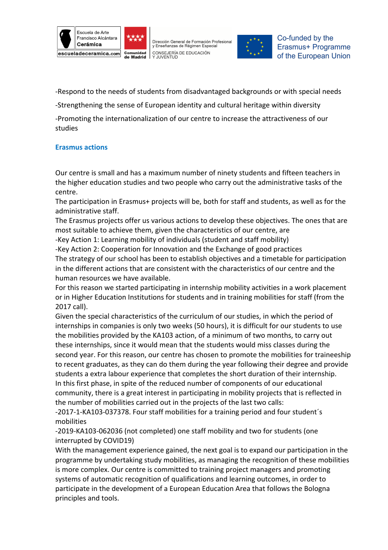





-Respond to the needs of students from disadvantaged backgrounds or with special needs

-Strengthening the sense of European identity and cultural heritage within diversity

-Promoting the internationalization of our centre to increase the attractiveness of our studies

# **Erasmus actions**

Our centre is small and has a maximum number of ninety students and fifteen teachers in the higher education studies and two people who carry out the administrative tasks of the centre.

The participation in Erasmus+ projects will be, both for staff and students, as well as for the administrative staff.

The Erasmus projects offer us various actions to develop these objectives. The ones that are most suitable to achieve them, given the characteristics of our centre, are

-Key Action 1: Learning mobility of individuals (student and staff mobility)

-Key Action 2: Cooperation for Innovation and the Exchange of good practices

The strategy of our school has been to establish objectives and a timetable for participation in the different actions that are consistent with the characteristics of our centre and the human resources we have available.

For this reason we started participating in internship mobility activities in a work placement or in Higher Education Institutions for students and in training mobilities for staff (from the 2017 call).

Given the special characteristics of the curriculum of our studies, in which the period of internships in companies is only two weeks (50 hours), it is difficult for our students to use the mobilities provided by the KA103 action, of a minimum of two months, to carry out these internships, since it would mean that the students would miss classes during the second year. For this reason, our centre has chosen to promote the mobilities for traineeship to recent graduates, as they can do them during the year following their degree and provide students a extra labour experience that completes the short duration of their internship. In this first phase, in spite of the reduced number of components of our educational community, there is a great interest in participating in mobility projects that is reflected in the number of mobilities carried out in the projects of the last two calls:

-2017-1-KA103-037378. Four staff mobilities for a training period and four student´s mobilities

-2019-KA103-062036 (not completed) one staff mobility and two for students (one interrupted by COVID19)

With the management experience gained, the next goal is to expand our participation in the programme by undertaking study mobilities, as managing the recognition of these mobilities is more complex. Our centre is committed to training project managers and promoting systems of automatic recognition of qualifications and learning outcomes, in order to participate in the development of a European Education Area that follows the Bologna principles and tools.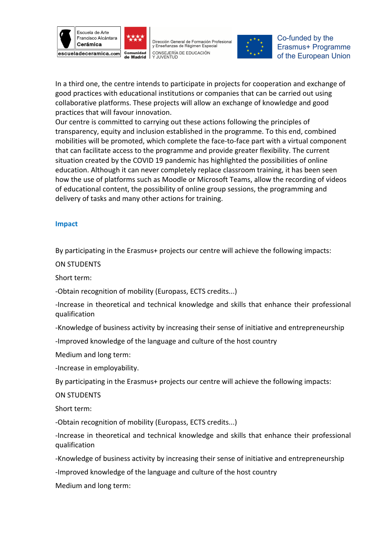





Co-funded by the Erasmus+ Programme of the European Union

In a third one, the centre intends to participate in projects for cooperation and exchange of good practices with educational institutions or companies that can be carried out using collaborative platforms. These projects will allow an exchange of knowledge and good practices that will favour innovation.

Our centre is committed to carrying out these actions following the principles of transparency, equity and inclusion established in the programme. To this end, combined mobilities will be promoted, which complete the face-to-face part with a virtual component that can facilitate access to the programme and provide greater flexibility. The current situation created by the COVID 19 pandemic has highlighted the possibilities of online education. Although it can never completely replace classroom training, it has been seen how the use of platforms such as Moodle or Microsoft Teams, allow the recording of videos of educational content, the possibility of online group sessions, the programming and delivery of tasks and many other actions for training.

## **Impact**

By participating in the Erasmus+ projects our centre will achieve the following impacts:

ON STUDENTS

Short term:

-Obtain recognition of mobility (Europass, ECTS credits...)

-Increase in theoretical and technical knowledge and skills that enhance their professional qualification

-Knowledge of business activity by increasing their sense of initiative and entrepreneurship

-Improved knowledge of the language and culture of the host country

Medium and long term:

-Increase in employability.

By participating in the Erasmus+ projects our centre will achieve the following impacts:

ON STUDENTS

Short term:

-Obtain recognition of mobility (Europass, ECTS credits...)

-Increase in theoretical and technical knowledge and skills that enhance their professional qualification

-Knowledge of business activity by increasing their sense of initiative and entrepreneurship

-Improved knowledge of the language and culture of the host country

Medium and long term: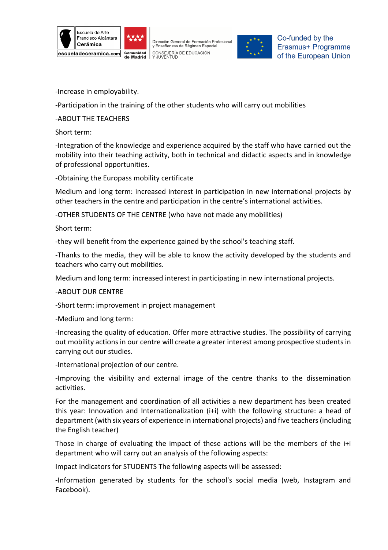





Co-funded by the Erasmus+ Programme of the European Union

-Increase in employability.

-Participation in the training of the other students who will carry out mobilities

-ABOUT THE TEACHERS

Short term:

-Integration of the knowledge and experience acquired by the staff who have carried out the mobility into their teaching activity, both in technical and didactic aspects and in knowledge of professional opportunities.

-Obtaining the Europass mobility certificate

Medium and long term: increased interest in participation in new international projects by other teachers in the centre and participation in the centre's international activities.

-OTHER STUDENTS OF THE CENTRE (who have not made any mobilities)

Short term:

-they will benefit from the experience gained by the school's teaching staff.

-Thanks to the media, they will be able to know the activity developed by the students and teachers who carry out mobilities.

Medium and long term: increased interest in participating in new international projects.

-ABOUT OUR CENTRE

-Short term: improvement in project management

-Medium and long term:

-Increasing the quality of education. Offer more attractive studies. The possibility of carrying out mobility actions in our centre will create a greater interest among prospective students in carrying out our studies.

-International projection of our centre.

-Improving the visibility and external image of the centre thanks to the dissemination activities.

For the management and coordination of all activities a new department has been created this year: Innovation and Internationalization (i+i) with the following structure: a head of department (with six years of experience in international projects) and five teachers (including the English teacher)

Those in charge of evaluating the impact of these actions will be the members of the i+i department who will carry out an analysis of the following aspects:

Impact indicators for STUDENTS The following aspects will be assessed:

-Information generated by students for the school's social media (web, Instagram and Facebook).